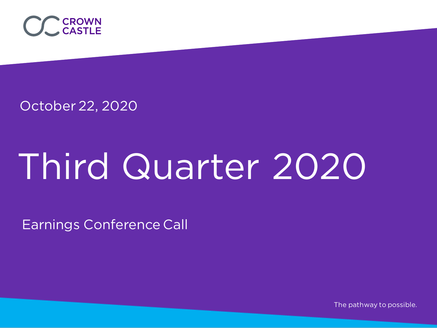

October 22, 2020

# Third Quarter 2020

Earnings Conference Call

The pathway to possible.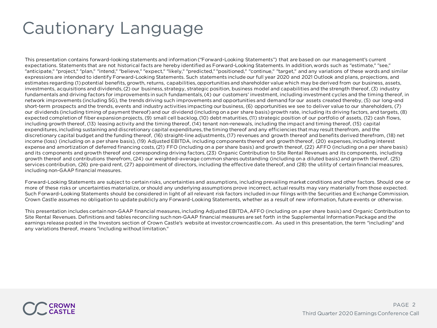# Cautionary Language

This presentation contains forward-looking statements and information ("Forward-Looking Statements") that are based on our management's current expectations. Statements that are not historical facts are hereby identified as Forward-Looking Statements. In addition, words such as "estimate," "see," "anticipate," "project," "plan," "intend," "believe," "expect," "likely," "predicted," "positioned," "continue," "target," and any variations of these words and similar expressions are intended to identify Forward-Looking Statements. Such statements include our full year 2020 and 2021 Outlook and plans, projections, and estimates regarding (1) potential benefits, growth, returns, capabilities, opportunities and shareholder value which may be derived from our business, assets, investments, acquisitions and dividends, (2) our business, strategy, strategic position, business model and capabilities and the strength thereof, (3) industry fundamentals and driving factors for improvements in such fundamentals, (4) our customers' investment, including investment cycles and the timing thereof, in network improvements (including 5G), the trends driving such improvements and opportunities and demand for our assets created thereby, (5) our long-and short-term prospects and the trends, events and industry activities impacting our business, (6) opportunities we see to deliver value to our shareholders, (7) our dividends (including timing of payment thereof) and our dividend (including on a per share basis) growth rate, including its driving factors, and targets, (8) expected completion of fiber expansion projects, (9) small cell backlog, (10) debt maturities, (11) strategic position of our portfolio of assets, (12) cash flows, including growth thereof, (13) leasing activity and the timing thereof, (14) tenant non-renewals, including the impact and timing thereof, (15) capital expenditures, including sustaining and discretionary capital expenditures, the timing thereof and any efficiencies that may result therefrom, and the discretionary capital budget and the funding thereof, (16) straight-line adjustments, (17) revenues and growth thereof and benefits derived therefrom, (18) net income (loss) (including on a per share basis), (19) Adjusted EBITDA, including components thereof and growth thereof, (20) expenses, including interest expense and amortization of deferred financing costs, (21) FFO (including on a per share basis) and growth thereof, (22) AFFO (including on a per share basis) and its components and growth thereof and corresponding driving factors, (23) Organic Contribution to Site Rental Revenues and its components, including growth thereof and contributions therefrom, (24) our weighted-average common shares outstanding (including on a diluted basis) and growth thereof, (25) services contribution, (26) pre-paid rent, (27) appointment of directors, including the effective date thereof, and (28) the utility of certain financial measures, including non-GAAP financial measures.

Forward-Looking Statements are subject to certain risks, uncertainties and assumptions, including prevailing market conditions and other factors. Should one or more of these risks or uncertainties materialize, or should any underlying assumptions prove incorrect, actual results may vary materially from those expected. Such Forward-Looking Statements should be considered in light of all relevant risk factors included in our filings with the Securities and Exchange Commission. Crown Castle assumes no obligation to update publicly any Forward-Looking Statements, whether as a result of new information, future events or otherwise.

This presentation includes certain non-GAAP financial measures, including Adjusted EBITDA, AFFO (including on a per share basis) and Organic Contribution to Site Rental Revenues. Definitions and tables reconciling such non-GAAP financial measures are set forth in the Supplemental Information Package and the earnings release posted in the Investors section of Crown Castle's website at investor.crowncastle.com. As used in this presentation, the term "including" and any variations thereof, means "including without limitation."

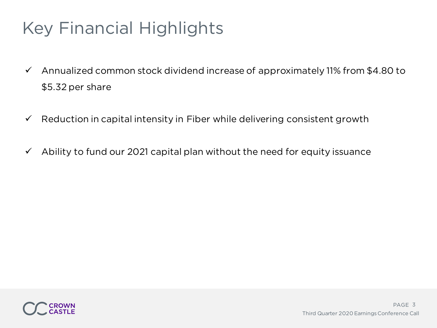# Key Financial Highlights

- $\checkmark$  Annualized common stock dividend increase of approximately 11% from \$4.80 to \$5.32 per share
- $\checkmark$  Reduction in capital intensity in Fiber while delivering consistent growth
- $\checkmark$  Ability to fund our 2021 capital plan without the need for equity issuance

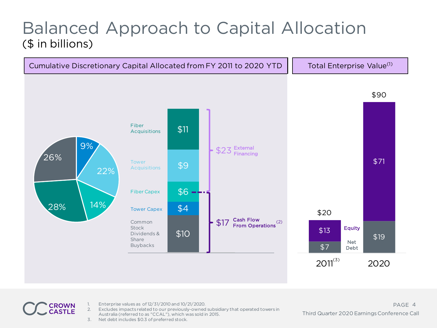# Balanced Approach to Capital Allocation (\$ in billions)



1. Enterprise values as of 12/31/2010 and 10/21/2020.

- 2. Excludes impacts related to our previously-owned subsidiary that operated towers in Australia (referred to as "CCAL"), which was sold in 2015.
- 3. Net debt includes \$0.3 of preferred stock.

**ROWN CASTLE**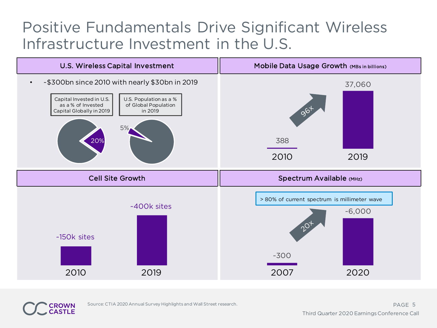# Positive Fundamentals Drive Significant Wireless Infrastructure Investment in the U.S.



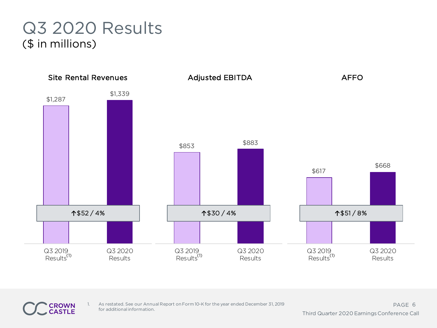# Q3 2020 Results (\$ in millions)



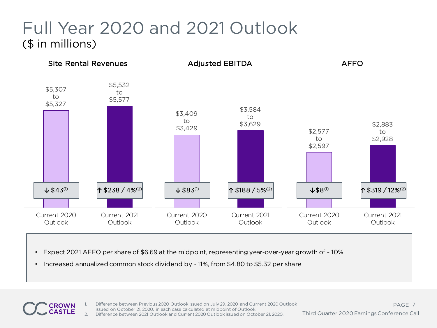# Full Year 2020 and 2021 Outlook (\$ in millions)



- Expect 2021 AFFO per share of \$6.69 at the midpoint, representing year-over-year growth of ~ 10%
- Increased annualized common stock dividend by ~ 11%, from \$4.80 to \$5.32 per share

Difference between Previous 2020 Outlook issued on July 29, 2020 and Current 2020 Outlook issued on October 21, 2020, in each case calculated at midpoint of Outlook. 2. Difference between 2021 Outlook and Current 2020 Outlook issued on October 21, 2020.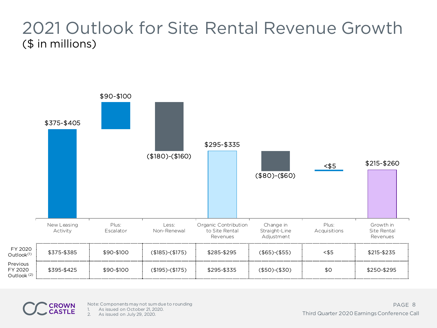#### 2021 Outlook for Site Rental Revenue Growth (\$ in millions)